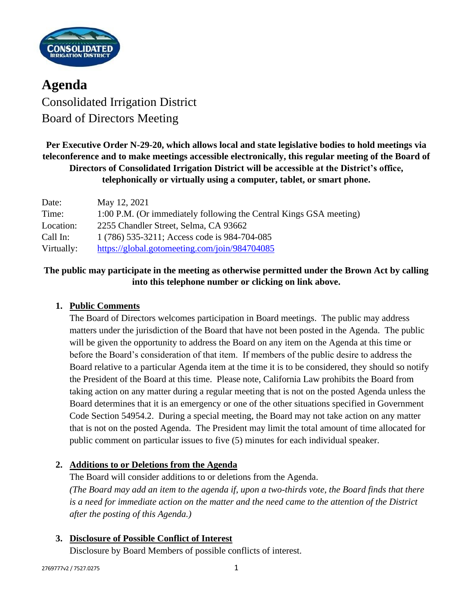

**Agenda** Consolidated Irrigation District Board of Directors Meeting

**Per Executive Order N-29-20, which allows local and state legislative bodies to hold meetings via teleconference and to make meetings accessible electronically, this regular meeting of the Board of Directors of Consolidated Irrigation District will be accessible at the District's office, telephonically or virtually using a computer, tablet, or smart phone.**

| Date:      | May 12, 2021                                                       |
|------------|--------------------------------------------------------------------|
| Time:      | 1:00 P.M. (Or immediately following the Central Kings GSA meeting) |
| Location:  | 2255 Chandler Street, Selma, CA 93662                              |
| Call In:   | 1 (786) 535-3211; Access code is 984-704-085                       |
| Virtually: | https://global.gotomeeting.com/join/984704085                      |

## **The public may participate in the meeting as otherwise permitted under the Brown Act by calling into this telephone number or clicking on link above.**

### **1. Public Comments**

The Board of Directors welcomes participation in Board meetings. The public may address matters under the jurisdiction of the Board that have not been posted in the Agenda. The public will be given the opportunity to address the Board on any item on the Agenda at this time or before the Board's consideration of that item. If members of the public desire to address the Board relative to a particular Agenda item at the time it is to be considered, they should so notify the President of the Board at this time. Please note, California Law prohibits the Board from taking action on any matter during a regular meeting that is not on the posted Agenda unless the Board determines that it is an emergency or one of the other situations specified in Government Code Section 54954.2. During a special meeting, the Board may not take action on any matter that is not on the posted Agenda. The President may limit the total amount of time allocated for public comment on particular issues to five (5) minutes for each individual speaker.

### **2. Additions to or Deletions from the Agenda**

The Board will consider additions to or deletions from the Agenda. *(The Board may add an item to the agenda if, upon a two-thirds vote, the Board finds that there is a need for immediate action on the matter and the need came to the attention of the District after the posting of this Agenda.)*

### **3. Disclosure of Possible Conflict of Interest**

Disclosure by Board Members of possible conflicts of interest.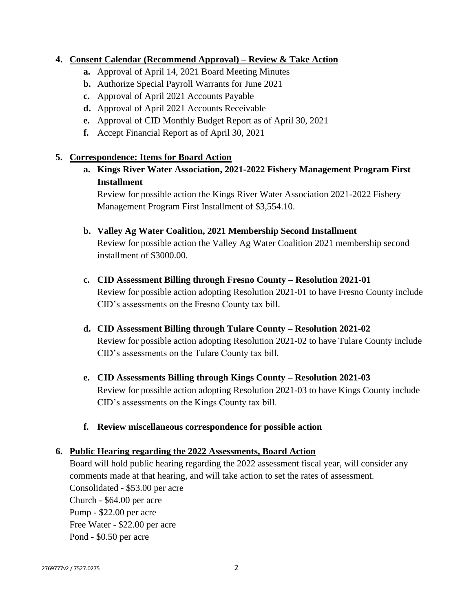### **4. Consent Calendar (Recommend Approval) – Review & Take Action**

- **a.** Approval of April 14, 2021 Board Meeting Minutes
- **b.** Authorize Special Payroll Warrants for June 2021
- **c.** Approval of April 2021 Accounts Payable
- **d.** Approval of April 2021 Accounts Receivable
- **e.** Approval of CID Monthly Budget Report as of April 30, 2021
- **f.** Accept Financial Report as of April 30, 2021

### **5. Correspondence: Items for Board Action**

**a. Kings River Water Association, 2021-2022 Fishery Management Program First Installment**

Review for possible action the Kings River Water Association 2021-2022 Fishery Management Program First Installment of \$3,554.10.

#### **b. Valley Ag Water Coalition, 2021 Membership Second Installment**

Review for possible action the Valley Ag Water Coalition 2021 membership second installment of \$3000.00.

- **c. CID Assessment Billing through Fresno County – Resolution 2021-01** Review for possible action adopting Resolution 2021-01 to have Fresno County include CID's assessments on the Fresno County tax bill.
- **d. CID Assessment Billing through Tulare County – Resolution 2021-02** Review for possible action adopting Resolution 2021-02 to have Tulare County include CID's assessments on the Tulare County tax bill.
- **e. CID Assessments Billing through Kings County – Resolution 2021-03** Review for possible action adopting Resolution 2021-03 to have Kings County include CID's assessments on the Kings County tax bill.
- **f. Review miscellaneous correspondence for possible action**

#### **6. Public Hearing regarding the 2022 Assessments, Board Action**

Board will hold public hearing regarding the 2022 assessment fiscal year, will consider any comments made at that hearing, and will take action to set the rates of assessment. Consolidated - \$53.00 per acre Church - \$64.00 per acre Pump - \$22.00 per acre Free Water - \$22.00 per acre Pond - \$0.50 per acre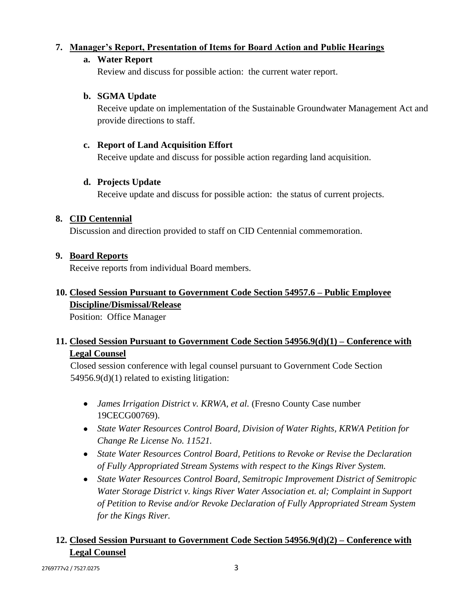## **7. Manager's Report, Presentation of Items for Board Action and Public Hearings**

### **a. Water Report**

Review and discuss for possible action: the current water report.

### **b. SGMA Update**

Receive update on implementation of the Sustainable Groundwater Management Act and provide directions to staff.

### **c. Report of Land Acquisition Effort**

Receive update and discuss for possible action regarding land acquisition.

### **d. Projects Update**

Receive update and discuss for possible action: the status of current projects.

### **8. CID Centennial**

Discussion and direction provided to staff on CID Centennial commemoration.

### **9. Board Reports**

Receive reports from individual Board members.

## **10. Closed Session Pursuant to Government Code Section 54957.6 – Public Employee Discipline/Dismissal/Release**

Position: Office Manager

# **11. Closed Session Pursuant to Government Code Section 54956.9(d)(1) – Conference with Legal Counsel**

Closed session conference with legal counsel pursuant to Government Code Section 54956.9(d)(1) related to existing litigation:

- *James Irrigation District v. KRWA, et al.* (Fresno County Case number 19CECG00769).
- *State Water Resources Control Board, Division of Water Rights, KRWA Petition for Change Re License No. 11521.*
- *State Water Resources Control Board, Petitions to Revoke or Revise the Declaration of Fully Appropriated Stream Systems with respect to the Kings River System.*
- *State Water Resources Control Board, Semitropic Improvement District of Semitropic Water Storage District v. kings River Water Association et. al; Complaint in Support of Petition to Revise and/or Revoke Declaration of Fully Appropriated Stream System for the Kings River.*

# **12. Closed Session Pursuant to Government Code Section 54956.9(d)(2) – Conference with Legal Counsel**

2769777v2 / 7527.0275 3